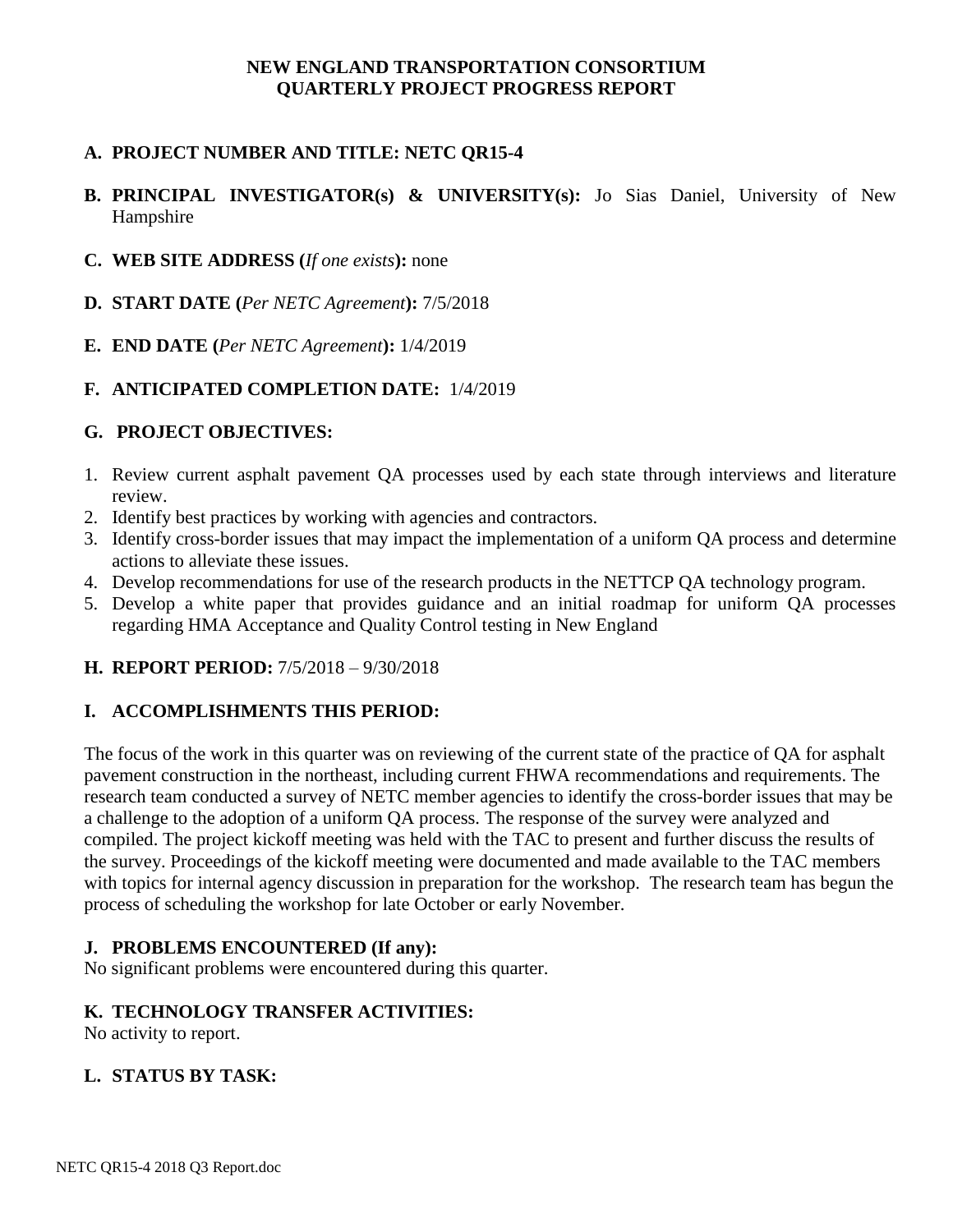#### **NEW ENGLAND TRANSPORTATION CONSORTIUM QUARTERLY PROJECT PROGRESS REPORT**

# **A. PROJECT NUMBER AND TITLE: NETC QR15-4**

# **B. PRINCIPAL INVESTIGATOR(s) & UNIVERSITY(s):** Jo Sias Daniel, University of New Hampshire

- **C. WEB SITE ADDRESS (***If one exists***):** none
- **D. START DATE (***Per NETC Agreement***):** 7/5/2018
- **E. END DATE (***Per NETC Agreement***):** 1/4/2019

#### **F. ANTICIPATED COMPLETION DATE:** 1/4/2019

#### **G. PROJECT OBJECTIVES:**

- 1. Review current asphalt pavement QA processes used by each state through interviews and literature review.
- 2. Identify best practices by working with agencies and contractors.
- 3. Identify cross-border issues that may impact the implementation of a uniform QA process and determine actions to alleviate these issues.
- 4. Develop recommendations for use of the research products in the NETTCP QA technology program.
- 5. Develop a white paper that provides guidance and an initial roadmap for uniform QA processes regarding HMA Acceptance and Quality Control testing in New England

## **H. REPORT PERIOD:** 7/5/2018 – 9/30/2018

## **I. ACCOMPLISHMENTS THIS PERIOD:**

The focus of the work in this quarter was on reviewing of the current state of the practice of QA for asphalt pavement construction in the northeast, including current FHWA recommendations and requirements. The research team conducted a survey of NETC member agencies to identify the cross-border issues that may be a challenge to the adoption of a uniform QA process. The response of the survey were analyzed and compiled. The project kickoff meeting was held with the TAC to present and further discuss the results of the survey. Proceedings of the kickoff meeting were documented and made available to the TAC members with topics for internal agency discussion in preparation for the workshop. The research team has begun the process of scheduling the workshop for late October or early November.

#### **J. PROBLEMS ENCOUNTERED (If any):**

No significant problems were encountered during this quarter.

#### **K. TECHNOLOGY TRANSFER ACTIVITIES:**

No activity to report.

## **L. STATUS BY TASK:**